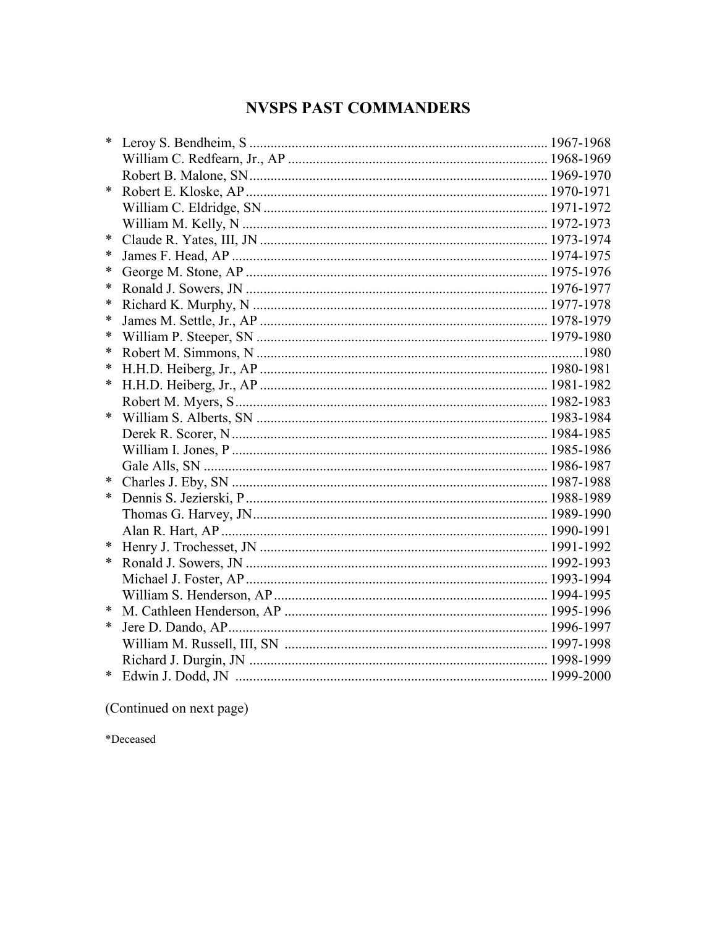## **NVSPS PAST COMMANDERS**

| *      |  |
|--------|--|
|        |  |
|        |  |
| $\ast$ |  |
|        |  |
|        |  |
| ∗      |  |
| ∗      |  |
| ∗      |  |
| ∗      |  |
| ∗      |  |
| ∗      |  |
| ∗      |  |
| ∗      |  |
| ∗      |  |
| ∗      |  |
|        |  |
|        |  |
|        |  |
|        |  |
|        |  |
| ∗      |  |
| ∗      |  |
|        |  |
|        |  |
| ∗      |  |
| ∗      |  |
|        |  |
|        |  |
|        |  |
| ∗      |  |
|        |  |
|        |  |
| $\ast$ |  |
|        |  |

(Continued on next page)

\*Deceased